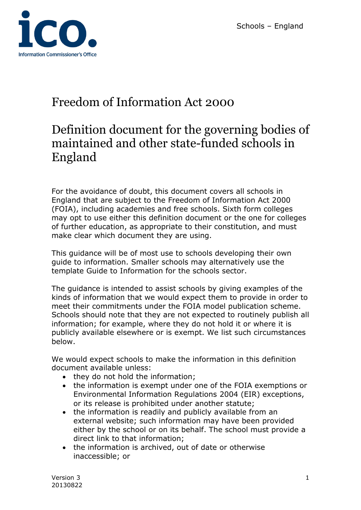

# Freedom of Information Act 2000

# Definition document for the governing bodies of maintained and other state-funded schools in England

For the avoidance of doubt, this document covers all schools in England that are subject to the Freedom of Information Act 2000 (FOIA), including academies and free schools. Sixth form colleges may opt to use either this definition document or the one for colleges of further education, as appropriate to their constitution, and must make clear which document they are using.

This guidance will be of most use to schools developing their own guide to information. Smaller schools may alternatively use the template Guide to Information for the schools sector.

The guidance is intended to assist schools by giving examples of the kinds of information that we would expect them to provide in order to meet their commitments under the FOIA model publication scheme. Schools should note that they are not expected to routinely publish all information; for example, where they do not hold it or where it is publicly available elsewhere or is exempt. We list such circumstances below.

We would expect schools to make the information in this definition document available unless:

- they do not hold the information;
- the information is exempt under one of the FOIA exemptions or Environmental Information Regulations 2004 (EIR) exceptions, or its release is prohibited under another statute;
- the information is readily and publicly available from an external website; such information may have been provided either by the school or on its behalf. The school must provide a direct link to that information;
- the information is archived, out of date or otherwise inaccessible; or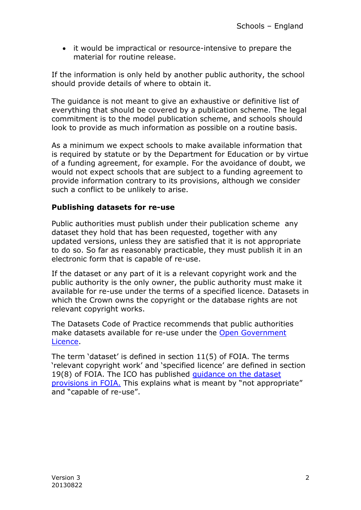• it would be impractical or resource-intensive to prepare the material for routine release.

If the information is only held by another public authority, the school should provide details of where to obtain it.

The guidance is not meant to give an exhaustive or definitive list of everything that should be covered by a publication scheme. The legal commitment is to the model publication scheme, and schools should look to provide as much information as possible on a routine basis.

As a minimum we expect schools to make available information that is required by statute or by the Department for Education or by virtue of a funding agreement, for example. For the avoidance of doubt, we would not expect schools that are subject to a funding agreement to provide information contrary to its provisions, although we consider such a conflict to be unlikely to arise.

#### **Publishing datasets for re-use**

Public authorities must publish under their publication scheme any dataset they hold that has been requested, together with any updated versions, unless they are satisfied that it is not appropriate to do so. So far as reasonably practicable, they must publish it in an electronic form that is capable of re-use.

If the dataset or any part of it is a relevant copyright work and the public authority is the only owner, the public authority must make it available for re-use under the terms of a specified licence. Datasets in which the Crown owns the copyright or the database rights are not relevant copyright works.

The Datasets Code of Practice recommends that public authorities make datasets available for re-use under the [Open Government](http://www.nationalarchives.gov.uk/doc/open-government-licence/version/2/)  [Licence.](http://www.nationalarchives.gov.uk/doc/open-government-licence/version/2/)

The term 'dataset' is defined in section 11(5) of FOIA. The terms 'relevant copyright work' and 'specified licence' are defined in section 19(8) of FOIA. The ICO has published [guidance on the dataset](http://www.ico.org.uk/for_organisations/guidance_index/~/media/documents/library/Freedom_of_Information/Detailed_specialist_guides/datasets-foi-guidance.pdf) [provisions in FOIA.](http://www.ico.org.uk/for_organisations/guidance_index/~/media/documents/library/Freedom_of_Information/Detailed_specialist_guides/datasets-foi-guidance.pdf) This explains what is meant by "not appropriate" and "capable of re-use".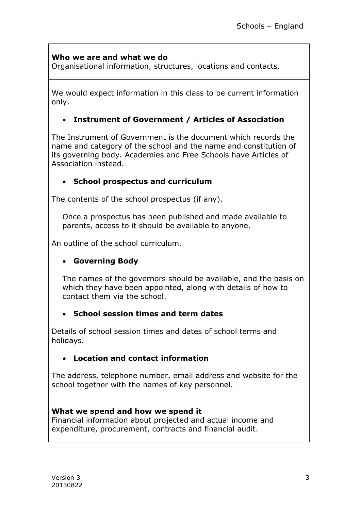### **Who we are and what we do**

Organisational information, structures, locations and contacts.

We would expect information in this class to be current information only.

#### **Instrument of Government / Articles of Association**

The [Instrument of Government](javascript:popUpJargonDefinition(388)) is the document which records the name and category of the school and the name and constitution of its governing body. Academies and Free Schools have Articles of Association instead.

#### **School prospectus and curriculum**

The contents of the school prospectus (if any).

Once a prospectus has been published and made available to parents, access to it should be available to anyone.

An outline of the school curriculum.

# **Governing Body**

The names of the governors should be available, and the basis on which they have been appointed, along with details of how to contact them via the school.

#### **School session times and term dates**

Details of school session times and dates of school terms and holidays.

#### **Location and contact information**

The address, telephone number, email address and website for the school together with the names of key personnel.

#### **What we spend and how we spend it**

Financial information about projected and actual income and expenditure, procurement, contracts and financial audit.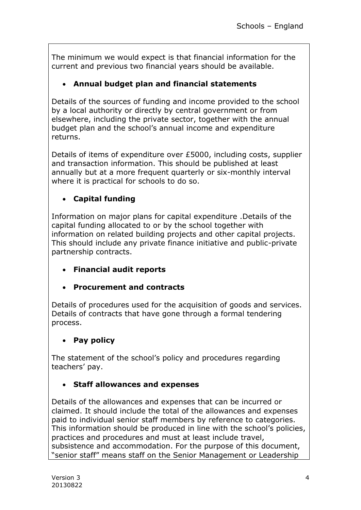The minimum we would expect is that financial information for the current and previous two financial years should be available.

# **Annual budget plan and financial statements**

Details of the sources of funding and income provided to the school by a local authority or directly by central government or from elsewhere, including the private sector, together with the annual budget plan and the school's annual income and expenditure returns.

Details of items of expenditure over £5000, including costs, supplier and transaction information. This should be published at least annually but at a more frequent quarterly or six-monthly interval where it is practical for schools to do so.

# **Capital funding**

Information on major plans for capital expenditure .Details of the capital funding allocated to or by the school together with information on related building projects and other capital projects. This should include any private finance initiative and public-private partnership contracts.

- **Financial audit reports**
- **Procurement and contracts**

Details of procedures used for the acquisition of goods and services. Details of contracts that have gone through a formal tendering process.

# **Pay policy**

The statement of the school's policy and procedures regarding teachers' pay.

# **Staff allowances and expenses**

Details of the allowances and expenses that can be incurred or claimed. It should include the total of the allowances and expenses paid to individual senior staff members by reference to categories. This information should be produced in line with the school's policies, practices and procedures and must at least include travel, subsistence and accommodation. For the purpose of this document, "senior staff" means staff on the Senior Management or Leadership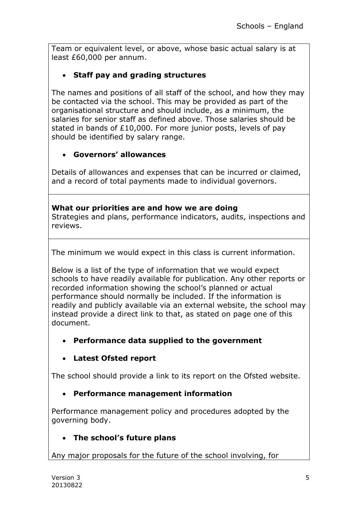Team or equivalent level, or above, whose basic actual salary is at least £60,000 per annum.

# **Staff pay and grading structures**

The names and positions of all staff of the school, and how they may be contacted via the school. This may be provided as part of the organisational structure and should include, as a minimum, the salaries for senior staff as defined above. Those salaries should be stated in bands of £10,000. For more junior posts, levels of pay should be identified by salary range.

# **Governors' allowances**

Details of allowances and expenses that can be incurred or claimed, and a record of total payments made to individual governors.

#### **What our priorities are and how we are doing**

Strategies and plans, performance indicators, audits, inspections and reviews.

The minimum we would expect in this class is current information.

Below is a list of the type of information that we would expect schools to have readily available for publication. Any other reports or recorded information showing the school's planned or actual performance should normally be included. If the information is readily and publicly available via an external website, the school may instead provide a direct link to that, as stated on page one of this document.

#### **Performance data supplied to the government**

# **Latest Ofsted report**

The school should provide a link to its report on the Ofsted website.

# **Performance management information**

Performance management policy and procedures adopted by the governing body.

# **The school's future plans**

Any major proposals for the future of the school involving, for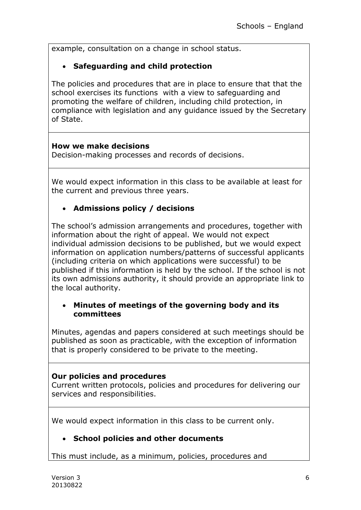example, consultation on a change in school status.

# **Safeguarding and child protection**

The policies and procedures that are in place to ensure that that the school exercises its functions with a view to safeguarding and promoting the welfare of children, including child protection, in compliance with legislation and any guidance issued by the Secretary of State.

#### **How we make decisions**

Decision-making processes and records of decisions.

We would expect information in this class to be available at least for the current and previous three years.

# **Admissions policy / decisions**

The school's admission arrangements and procedures, together with information about the right of appeal. We would not expect individual admission decisions to be published, but we would expect information on application numbers/patterns of successful applicants (including criteria on which applications were successful) to be published if this information is held by the school. If the school is not its own admissions authority, it should provide an appropriate link to the local authority.

#### **Minutes of meetings of the governing body and its committees**

Minutes, agendas and papers considered at such meetings should be published as soon as practicable, with the exception of information that is properly considered to be private to the meeting.

#### **Our policies and procedures**

Current written protocols, policies and procedures for delivering our services and responsibilities.

We would expect information in this class to be current only.

#### **School policies and other documents**

This must include, as a minimum, policies, procedures and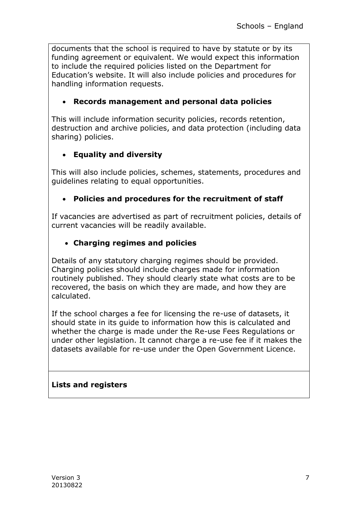documents that the school is required to have by statute or by its funding agreement or equivalent. We would expect this information to include the required policies listed on the Department for Education's website. It will also include policies and procedures for handling information requests.

# **Records management and personal data policies**

This will include information security policies, records retention, destruction and archive policies, and data protection (including data sharing) policies.

# **Equality and diversity**

This will also include policies, schemes, statements, procedures and guidelines relating to equal opportunities.

# **Policies and procedures for the recruitment of staff**

If vacancies are advertised as part of recruitment policies, details of current vacancies will be readily available.

# **Charging regimes and policies**

Details of any statutory charging regimes should be provided. Charging policies should include charges made for information routinely published. They should clearly state what costs are to be recovered, the basis on which they are made, and how they are calculated.

If the school charges a fee for licensing the re-use of datasets, it should state in its guide to information how this is calculated and whether the charge is made under the Re-use Fees Regulations or under other legislation. It cannot charge a re-use fee if it makes the datasets available for re-use under the Open Government Licence.

#### **Lists and registers**